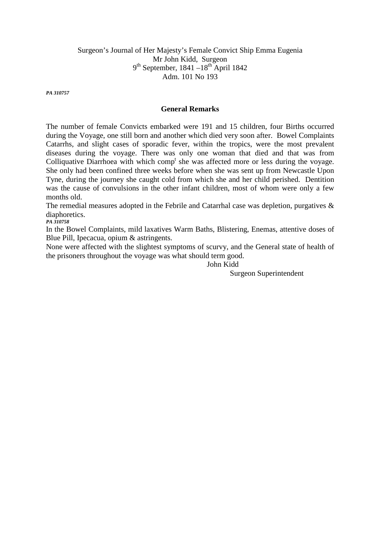# Surgeon's Journal of Her Majesty's Female Convict Ship Emma Eugenia Mr John Kidd, Surgeon  $9<sup>th</sup>$  September, 1841 –18<sup>th</sup> April 1842 Adm. 101 No 193

*PA 310757* 

## **General Remarks**

The number of female Convicts embarked were 191 and 15 children, four Births occurred during the Voyage, one still born and another which died very soon after. Bowel Complaints Catarrhs, and slight cases of sporadic fever, within the tropics, were the most prevalent diseases during the voyage. There was only one woman that died and that was from Colliquative Diarrhoea with which  $comp<sup>t</sup>$  she was affected more or less during the voyage. She only had been confined three weeks before when she was sent up from Newcastle Upon Tyne, during the journey she caught cold from which she and her child perished. Dentition was the cause of convulsions in the other infant children, most of whom were only a few months old.

The remedial measures adopted in the Febrile and Catarrhal case was depletion, purgatives & diaphoretics. *PA 310758* 

In the Bowel Complaints, mild laxatives Warm Baths, Blistering, Enemas, attentive doses of Blue Pill, Ipecacua, opium & astringents.

None were affected with the slightest symptoms of scurvy, and the General state of health of the prisoners throughout the voyage was what should term good.

John Kidd

Surgeon Superintendent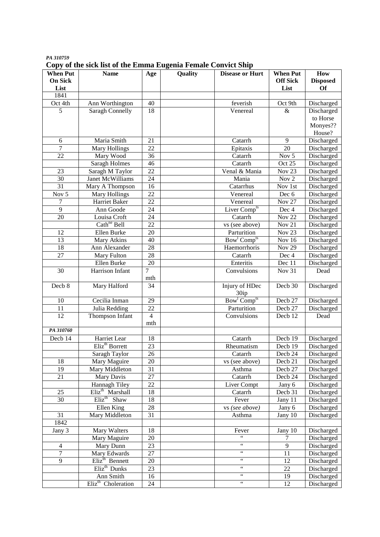| PA 310759                                                     |  |
|---------------------------------------------------------------|--|
| Copy of the sick list of the Emma Eugenia Female Convict Ship |  |

| <b>When Put</b>    | <b>Name</b>                    | Age             | Quality | <b>Disease or Hurt</b>              | <b>When Put</b>     | How             |
|--------------------|--------------------------------|-----------------|---------|-------------------------------------|---------------------|-----------------|
| <b>On Sick</b>     |                                |                 |         |                                     | <b>Off Sick</b>     | <b>Disposed</b> |
| List               |                                |                 |         |                                     | List                | <b>Of</b>       |
| 1841               |                                |                 |         |                                     |                     |                 |
| Oct 4th            | Ann Worthington                | 40              |         | feverish                            | Oct 9th             | Discharged      |
| 5                  | <b>Saragh Connelly</b>         | 18              |         | Venereal                            | $\&$                | Discharged      |
|                    |                                |                 |         |                                     |                     | to Horse        |
|                    |                                |                 |         |                                     |                     | Monyes??        |
|                    |                                |                 |         |                                     |                     | House?          |
| 6                  | Maria Smith                    | 21              |         | Catarrh                             | 9                   | Discharged      |
| $\overline{7}$     | Mary Hollings                  | 22              |         | Epitaxis                            | 20                  | Discharged      |
| 22                 | Mary Wood                      | 36              |         | Catarrh                             | Nov 5               | Discharged      |
|                    | <b>Saragh Holmes</b>           | 46              |         | Catarrh                             | Oct 25              | Discharged      |
| 23                 | Saragh M Taylor                | 22              |         | Venal & Mania                       | Nov <sub>23</sub>   | Discharged      |
| 30                 | Janet McWilliams               | 24              |         | Mania                               | Nov 2               | Discharged      |
| 31                 | Mary A Thompson                | 16              |         | Catarrhus                           | Nov 1st             | Discharged      |
| Nov $\overline{5}$ | Mary Hollings                  | 22              |         | Venereal                            | Dec 6               | Discharged      |
| 7                  | Harriet Baker                  | $\overline{22}$ |         | Venereal                            | <b>Nov 27</b>       | Discharged      |
| 9                  | Ann Goode                      | 24              |         | Liver Comp <sup>ts</sup>            | Dec 4               | Discharged      |
| 20                 | Louisa Croft                   | 24              |         | Catarrh                             | <b>Nov 22</b>       | Discharged      |
|                    | Cath <sup>ne</sup> Bell        | 22              |         | vs (see above)                      | Nov 21              | Discharged      |
| 12                 | Ellen Burke                    | 20              |         | Parturition                         | Nov <sub>23</sub>   | Discharged      |
| 13                 | <b>Mary Atkins</b>             | 40              |         | Bow <sup>1</sup> Comp <sup>ts</sup> | <b>Nov 16</b>       | Discharged      |
| 18                 | Ann Alexander                  | 28              |         | Haemorrhoris                        | <b>Nov 29</b>       | Discharged      |
| 27                 | Mary Fulton                    | 28              |         | Catarrh                             | Dec 4               | Discharged      |
|                    | Ellen Burke                    | 20              |         | Enteritis                           | Dec 11              | Discharged      |
| 30                 | Harrison Infant                | 7               |         | Convulsions                         | Nov 31              | Dead            |
|                    |                                | mth             |         |                                     |                     |                 |
| Decb 8             | Mary Halford                   | 34              |         | Injury of HDec<br>30ip              | Decb 30             | Discharged      |
| 10                 | Cecilia Inman                  | 29              |         | Bow <sup>1</sup> Comp <sup>ts</sup> | Decb 27             | Discharged      |
| 11                 | Julia Redding                  | $\overline{22}$ |         | Parturition                         | Decb 27             | Discharged      |
| 12                 | Thompson Infant                | $\overline{4}$  |         | Convulsions                         | Decb <sub>12</sub>  | Dead            |
|                    |                                | mth             |         |                                     |                     |                 |
| PA 310760          |                                |                 |         |                                     |                     |                 |
| Decb 14            | Harriet Lear                   | 18              |         | Catarrh                             | Decb <sub>19</sub>  | Discharged      |
|                    | Eliz <sup>th</sup> Borrett     | 23              |         | Rheumatism                          | Decb 19             | Discharged      |
|                    | Saragh Taylor                  | $\overline{26}$ |         | Catarrh                             | Decb 24             | Discharged      |
| 18                 | Mary Maguire                   | 20              |         | vs (see above)                      | Decb 21             | Discharged      |
| 19                 | Mary Middleton                 | 31              |         | Asthma                              | Decb 27             | Discharged      |
| 21                 | Mary Davis                     | $\overline{27}$ |         | Catarrh                             | Decb 24             | Discharged      |
|                    | Hannagh Tiley                  | 22              |         | Liver Compt                         | Jany 6              | Discharged      |
| 25                 | Eliz <sup>th</sup> Marshall    | 18              |         | Catarrh                             | Decb <sub>31</sub>  | Discharged      |
| 30                 | $Eliz$ <sup>th</sup> Shaw      | 18              |         | Fever                               | Jany 11             | Discharged      |
|                    | Ellen King                     | $\overline{28}$ |         | vs (see above)                      | Jany $\overline{6}$ | Discharged      |
| 31                 | Mary Middleton                 | 31              |         | Asthma                              | Jany 10             | Discharged      |
| 1842               |                                |                 |         |                                     |                     |                 |
| Jany 3             | <b>Mary Walters</b>            | 18              |         | Fever<br>$\overline{\mathbf{G}}$    | Jany 10             | Discharged      |
|                    | Mary Maguire                   | 20              |         | $\zeta\,\zeta$                      | 7                   | Discharged      |
| $\overline{4}$     | Mary Dunn                      | 23              |         | $\zeta$ $\zeta$                     | $\overline{9}$      | Discharged      |
| $\overline{7}$     | Mary Edwards                   | 27              |         | $\zeta$ $\zeta$                     | 11                  | Discharged      |
| 9                  | Eliz <sup>th</sup> Bennett     | 20              |         | $\zeta$ $\zeta$                     | 12                  | Discharged      |
|                    | Eliz <sup>th</sup> Dunks       | $\overline{23}$ |         | $\zeta\,\zeta$                      | 22                  | Discharged      |
|                    | Ann Smith                      | 16              |         | $\zeta\,\zeta$                      | 19                  | Discharged      |
|                    | Eliz <sup>th</sup> Choleration | 24              |         |                                     | 12                  | Discharged      |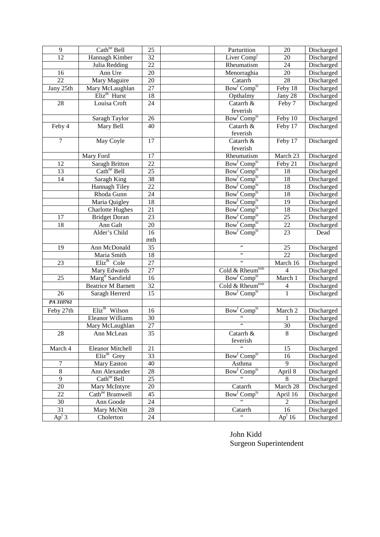| 9               | Cath <sup>ne</sup> Bell                         | 25              | Parturition                                                                | 20                    | Discharged               |
|-----------------|-------------------------------------------------|-----------------|----------------------------------------------------------------------------|-----------------------|--------------------------|
| 12              | Hannagh Kimber                                  | 32              | Liver Comp <sup>t</sup>                                                    | 20                    | Discharged               |
|                 | Julia Redding                                   | $\overline{22}$ | Rheumatism                                                                 | 24                    | Discharged               |
| 16              | Ann Ure                                         | 20              | Menorraghia                                                                | 20                    | Discharged               |
| $\overline{22}$ | Mary Maguire                                    | $\overline{20}$ | Catarrh                                                                    | $\overline{28}$       | Discharged               |
| Jany 25th       | Mary McLaughlan                                 | 27              | Bow <sup>1</sup> Comp <sup>ts</sup>                                        | Feby 18               | Discharged               |
|                 | Eliz <sup>th</sup> Hurst                        | $\overline{18}$ | Opthalmy                                                                   | Jany 28               | Discharged               |
| 28              | Louisa Croft                                    | 24              | Catarrh &                                                                  | Feby 7                | Discharged               |
|                 |                                                 |                 | feverish                                                                   |                       |                          |
|                 | Saragh Taylor                                   | 26              | Bow <sup>1</sup> Comp <sup>ts</sup>                                        | Feby 10               | Discharged               |
| Feby 4          | Mary Bell                                       | 40              | Catarrh &                                                                  | Feby 17               | Discharged               |
|                 |                                                 |                 | feverish                                                                   |                       |                          |
| $\overline{7}$  | May Coyle                                       | 17              | Catarrh &                                                                  | Feby 17               | Discharged               |
|                 |                                                 |                 | feverish                                                                   |                       |                          |
|                 | Mary Ford                                       | 17              | Rheumatism                                                                 | March 23              | Discharged               |
| 12              | <b>Saragh Britton</b>                           | 22              | Bow <sup>1</sup> Comp <sup>ts</sup>                                        | Feby 21               | Discharged               |
| 13              | Cath <sup>ne</sup> Bell                         | 25              | Bow <sup>1</sup> Comp <sup>ts</sup>                                        | 18                    | Discharged               |
| 14              | Saragh King                                     | 38              | Bow <sup>1</sup> Comp <sup>ts</sup>                                        | 18                    | Discharged               |
|                 | Hannagh Tiley                                   | 22              | Bow <sup>1</sup> Comp <sup>ts</sup>                                        | 18                    | Discharged               |
|                 | Rhoda Gunn                                      | 24              | Bow <sup>1</sup> Comp <sup>ts</sup>                                        | 18                    | Discharged               |
|                 | Maria Quigley                                   | 18<br>21        | Bow <sup>1</sup> Comp <sup>ts</sup><br>Bow <sup>1</sup> Comp <sup>ts</sup> | 19<br>$\overline{18}$ | Discharged               |
| 17              | <b>Charlotte Hughes</b><br><b>Bridget Doran</b> | $\overline{23}$ | Bow <sup>1</sup> Comp <sup>ts</sup>                                        | $\overline{25}$       | Discharged<br>Discharged |
| 18              | Ann Galt                                        | 20              | Bow <sup>1</sup> Comp <sup>ts</sup>                                        | 22                    |                          |
|                 | Alder's Child                                   | 16              | Bow <sup>1</sup> Comp <sup>ts</sup>                                        | 23                    | Discharged<br>Dead       |
|                 |                                                 | mth             |                                                                            |                       |                          |
| $\overline{19}$ | Ann McDonald                                    | $\overline{35}$ | $\zeta\,\zeta$                                                             | 25                    | Discharged               |
|                 | Maria Smith                                     | $\overline{18}$ | $\boldsymbol{\zeta} \boldsymbol{\zeta}$                                    | $\overline{22}$       | Discharged               |
| $\overline{23}$ | Eliz <sup>th</sup> Cole                         | $\overline{27}$ | $\boldsymbol{\zeta} \boldsymbol{\zeta}$                                    | March 16              | Discharged               |
|                 | Mary Edwards                                    | $\overline{27}$ | Cold & Rheum <sup>tsm</sup>                                                | 4                     | Discharged               |
| $\overline{25}$ | Marg <sup>rt</sup> Sarsfield                    | $\overline{16}$ | Bow <sup>1</sup> Comp <sup>ts</sup>                                        | March 1               | Discharged               |
|                 | <b>Beatrice M Barnett</b>                       | 32              | Cold & Rheum <sup>tsm</sup>                                                | 4                     | Discharged               |
| 26              | Saragh Herrerd                                  | 15              | Bow <sup>1</sup> Comp <sup>ts</sup>                                        | 1                     | Discharged               |
| PA 310761       |                                                 |                 |                                                                            |                       |                          |
| Feby 27th       | Eliz <sup>th</sup> Wilson                       | 16              | Bow Comp <sup>ts</sup>                                                     | March 2               | Discharged               |
|                 | Eleanor Williams                                | 30              | $\zeta\,\zeta$                                                             |                       | Discharged               |
|                 | Mary McLaughlan                                 | 27              | $\zeta$ $\zeta$                                                            | 30                    | Discharged               |
| 28              | Ann McLean                                      | 35              | Catarrh &                                                                  | 8                     | Discharged               |
|                 |                                                 |                 | feverish                                                                   |                       |                          |
| March 4         | Eleanor Mitchell                                | 21              | $\zeta\,\zeta$                                                             | 15                    | Discharged               |
|                 | Eliz <sup>th</sup> Grey                         | 33              | Bow <sup>1</sup> Comp <sup>ts</sup>                                        | 16                    | Discharged               |
| 7               | Mary Easton                                     | 40              | Asthma                                                                     | 9                     | Discharged               |
| 8               | Ann Alexander                                   | 28              | $Bow^l$ Comp <sup>ts</sup>                                                 | April 8               | Discharged               |
| 9               | Cath <sup>ne</sup> Bell                         | 25              |                                                                            | 8                     | Discharged               |
| 20              | Mary McIntyre                                   | 20              | Catarrh                                                                    | March 28              | Discharged               |
| 22              | Cath <sup>ne</sup> Bramwell                     | 45              | Bow <sup>l</sup> Comp <sup>ts</sup>                                        | April 16              | Discharged               |
| 30              | Ann Goode                                       | 24              |                                                                            | 2                     | Discharged               |
| 31              | Mary McNitt                                     | 28              | Catarrh                                                                    | 16                    | Discharged               |
| $Ap1$ 3         | Cholerton                                       | 24              | $\zeta\,\zeta$                                                             | Ap <sup>1</sup> 16    | Discharged               |

John Kidd Surgeon Superintendent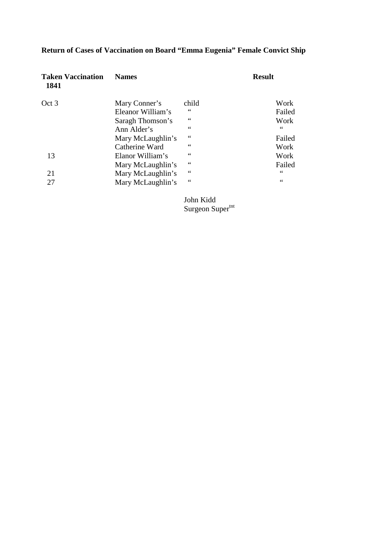# **Return of Cases of Vaccination on Board "Emma Eugenia" Female Convict Ship**

| <b>Taken Vaccination</b><br>1841 | <b>Names</b>      |               | <b>Result</b> |
|----------------------------------|-------------------|---------------|---------------|
| Oct 3                            | Mary Conner's     | child         | Work          |
|                                  | Eleanor William's | $\leq$ $\leq$ | Failed        |
|                                  | Saragh Thomson's  | $\leq$ $\leq$ | Work          |
|                                  | Ann Alder's       | 66            | $\leq$ $\leq$ |
|                                  | Mary McLaughlin's | 66            | Failed        |
|                                  | Catherine Ward    | 66            | Work          |
| 13                               | Elanor William's  | $\leq$ $\leq$ | Work          |
|                                  | Mary McLaughlin's | 66            | Failed        |
| 21                               | Mary McLaughlin's | $\leq$ $\leq$ | $\leq$ $\leq$ |
| 27                               | Mary McLaughlin's | $\leq$ $\leq$ | 66            |
|                                  |                   |               |               |

 John Kidd Surgeon Super<sup>tnt</sup>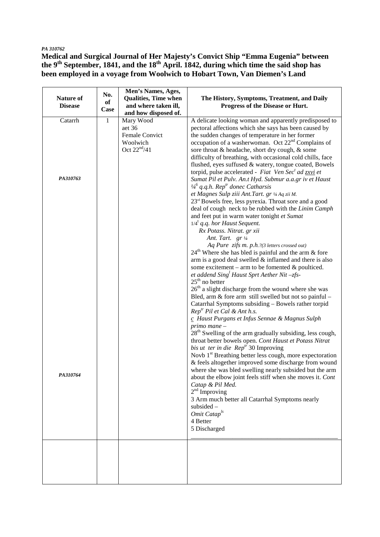#### *PA 310762*

**Medical and Surgical Journal of Her Majesty's Convict Ship "Emma Eugenia" between the 9th September, 1841, and the 18th April. 1842, during which time the said shop has been employed in a voyage from Woolwich to Hobart Town, Van Diemen's Land** 

|                  | No.        | Men's Names, Ages,          |                                                                                                         |
|------------------|------------|-----------------------------|---------------------------------------------------------------------------------------------------------|
| <b>Nature of</b> |            | <b>Qualities, Time when</b> | The History, Symptoms, Treatment, and Daily                                                             |
| <b>Disease</b>   | of<br>Case | and where taken ill,        | Progress of the Disease or Hurt.                                                                        |
|                  |            | and how disposed of.        |                                                                                                         |
| Catarrh          | 1          | Mary Wood                   | A delicate looking woman and apparently predisposed to                                                  |
|                  |            | aet 36                      | pectoral affections which she says has been caused by                                                   |
|                  |            | Female Convict              | the sudden changes of temperature in her former                                                         |
|                  |            | Woolwich                    | occupation of a washerwoman. Oct $22nd$ Complains of                                                    |
|                  |            | Oct $22nd/41$               | sore throat & headache, short dry cough, & some                                                         |
|                  |            |                             | difficulty of breathing, with occasional cold chills, face                                              |
|                  |            |                             | flushed, eyes suffused & watery, tongue coated, Bowels                                                  |
|                  |            |                             | torpid, pulse accelerated - Fiat Ven Sec <sup>t</sup> ad zxvi et                                        |
| PA310763         |            |                             | Sumat Pil et Pulv. An.t Hyd. Submur a.a.gr iv et Haust                                                  |
|                  |            |                             | $\frac{1}{4}$ <sup>6</sup> q.q.h. Rep <sup>tr</sup> donec Catharsis                                     |
|                  |            |                             | et Magnes Sulp ziii Ant. Tart. gr 1/4 Aq zii M.                                                         |
|                  |            |                             | 23 <sup>rd</sup> Bowels free, less pyrexia. Throat sore and a good                                      |
|                  |            |                             | deal of cough neck to be rubbed with the Linim Camph                                                    |
|                  |            |                             | and feet put in warm water tonight et Sumat                                                             |
|                  |            |                             | $1/4^t$ q.q. hor Haust Sequent.                                                                         |
|                  |            |                             | Rx Potass. Nitrat. gr xii                                                                               |
|                  |            |                             | Ant. Tart. gr 1/4                                                                                       |
|                  |            |                             | Aq Pure zifs m. p.h.?(3 letters crossed out)<br>$24th$ Where she has bled is painful and the arm & fore |
|                  |            |                             | arm is a good deal swelled $&$ inflamed and there is also                                               |
|                  |            |                             | some excitement – arm to be fomented $\&$ poulticed.                                                    |
|                  |            |                             | et addend $Sing1$ Haust Sprt Aether Nit -zfs-                                                           |
|                  |            |                             | $25th$ no better                                                                                        |
|                  |            |                             | $26th$ a slight discharge from the wound where she was                                                  |
|                  |            |                             | Bled, arm & fore arm still swelled but not so painful -                                                 |
|                  |            |                             | Catarrhal Symptoms subsiding - Bowels rather torpid                                                     |
|                  |            |                             | $Reptr$ Pil et Cal & Ant h.s.                                                                           |
|                  |            |                             | c Haust Purgans et Infus Sennae & Magnus Sulph                                                          |
|                  |            |                             | $primo$ mane $-$                                                                                        |
|                  |            |                             | $28th$ Swelling of the arm gradually subsiding, less cough,                                             |
|                  |            |                             | throat better bowels open. Cont Haust et Potass Nitrat                                                  |
|                  |            |                             | <i>bis ut ter in die Rep<sup>tr</sup></i> 30 Improving                                                  |
|                  |            |                             | Novb 1 <sup>st</sup> Breathing better less cough, more expectoration                                    |
|                  |            |                             | & feels altogether improved some discharge from wound                                                   |
|                  |            |                             | where she was bled swelling nearly subsided but the arm                                                 |
| <i>PA310764</i>  |            |                             | about the elbow joint feels stiff when she moves it. Cont                                               |
|                  |            |                             | Catap & Pil Med.                                                                                        |
|                  |            |                             | $2nd$ Improving                                                                                         |
|                  |            |                             | 3 Arm much better all Catarrhal Symptoms nearly                                                         |
|                  |            |                             | subsided -<br>Omit Catap <sup>ls</sup>                                                                  |
|                  |            |                             | 4 Better                                                                                                |
|                  |            |                             | 5 Discharged                                                                                            |
|                  |            |                             |                                                                                                         |
|                  |            |                             |                                                                                                         |
|                  |            |                             |                                                                                                         |
|                  |            |                             |                                                                                                         |
|                  |            |                             |                                                                                                         |
|                  |            |                             |                                                                                                         |
|                  |            |                             |                                                                                                         |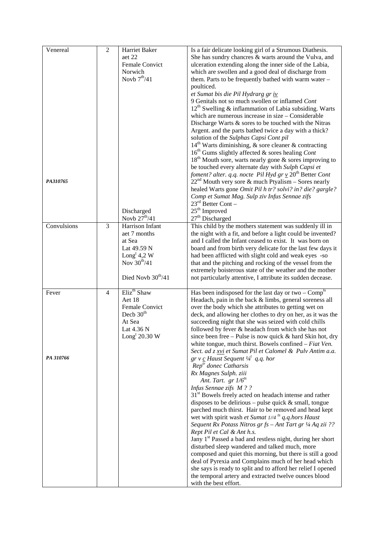| Venereal<br>PA310765 | $\overline{2}$ | Harriet Baker<br>aet 22<br>Female Convict<br>Norwich<br>Novb $7th/41$<br>Discharged                                                                 | Is a fair delicate looking girl of a Strumous Diathesis.<br>She has sundry chancres & warts around the Vulva, and<br>ulceration extending along the inner side of the Labia,<br>which are swollen and a good deal of discharge from<br>them. Parts to be frequently bathed with warm water -<br>poulticed.<br>et Sumat bis die Pil Hydrarg gr iv<br>9 Genitals not so much swollen or inflamed Cont<br>$12th$ Swelling & inflammation of Labia subsiding. Warts<br>which are numerous increase in size – Considerable<br>Discharge Warts & sores to be touched with the Nitras<br>Argent. and the parts bathed twice a day with a thick?<br>solution of the Sulphas Capsi Cont pil<br>$14th$ Warts diminishing, & sore cleaner & contracting<br>$16th$ Gums slightly affected & sores healing Cont<br>$18th$ Mouth sore, warts nearly gone & sores improving to<br>be touched every alternate day with Sulph Capsi et<br>foment? alter. q.q. nocte Pil Hyd gr <u>v</u> 20 <sup>th</sup> Better Cont<br>$22nd$ Mouth very sore & much Ptyalism – Sores nearly<br>healed Warts gone Omit Pil h tr? solvi? in? die? gargle?<br>Comp et Sumat Mag. Sulp ziv Infus Sennae zifs<br>$23^{\text{rd}}$ Better Cont -<br>$25th$ Improved                                                                                                                                                                                                                                                       |
|----------------------|----------------|-----------------------------------------------------------------------------------------------------------------------------------------------------|--------------------------------------------------------------------------------------------------------------------------------------------------------------------------------------------------------------------------------------------------------------------------------------------------------------------------------------------------------------------------------------------------------------------------------------------------------------------------------------------------------------------------------------------------------------------------------------------------------------------------------------------------------------------------------------------------------------------------------------------------------------------------------------------------------------------------------------------------------------------------------------------------------------------------------------------------------------------------------------------------------------------------------------------------------------------------------------------------------------------------------------------------------------------------------------------------------------------------------------------------------------------------------------------------------------------------------------------------------------------------------------------------------------------------------------------------------------------------------------|
| Convulsions          | 3              | Novb $27th/41$<br>Harrison Infant<br>aet 7 months<br>at Sea<br>Lat 49.59 N<br>Long <sup>t</sup> 4,2 W<br>Nov $30^{th}/41$<br>Died Novb $30^{th}/41$ | 27 <sup>th</sup> Discharged<br>This child by the mothers statement was suddenly ill in<br>the night with a fit, and before a light could be invented?<br>and I called the Infant ceased to exist. It was born on<br>board and from birth very delicate for the last few days it<br>had been afflicted with slight cold and weak eyes -so<br>that and the pitching and rocking of the vessel from the<br>extremely boisterous state of the weather and the mother<br>not particularly attentive, I attribute its sudden decease.                                                                                                                                                                                                                                                                                                                                                                                                                                                                                                                                                                                                                                                                                                                                                                                                                                                                                                                                                      |
| Fever<br>PA 310766   | $\overline{4}$ | Eliz <sup>th</sup> Shaw<br>Aet 18<br>Female Convict<br>Decb $30th$<br>At Sea<br>Lat $4.36$ N<br>Long <sup>t</sup> 20.30 W                           | Has been indisposed for the last day or two $-$ Comp <sup>1s</sup><br>Headach, pain in the back & limbs, general soreness all<br>over the body which she attributes to getting wet on<br>deck, and allowing her clothes to dry on her, as it was the<br>succeeding night that she was seized with cold chills<br>followed by fever & headach from which she has not<br>since been free – Pulse is now quick $&$ hard Skin hot, dry<br>white tongue, much thirst. Bowels confined $-$ Fiat Ven.<br>Sect. ad z xvi et Sumat Pil et Calomel & Pulv Antim a.a.<br>$gr v c$ Haust Sequent $\frac{1}{4}$ q.q. hor<br>$Reptr$ donec Catharsis<br>Rx Magnes Sulph. ziii<br>Ant. Tart. $gr 1/6^{ts}$<br>Infus Sennae zifs M??<br>31 <sup>st</sup> Bowels freely acted on headach intense and rather<br>disposes to be delirious – pulse quick $\&$ small, tongue<br>parched much thirst. Hair to be removed and head kept<br>wet with spirit wash et Sumat $1/4$ <sup>ts</sup> q.q.hors Haust<br>Sequent Rx Potass Nitros gr fs - Ant Tart gr 1/4 Aq zii ??<br>Rept Pil et Cal & Ant h.s.<br>Jany 1 <sup>st</sup> Passed a bad and restless night, during her short<br>disturbed sleep wandered and talked much, more<br>composed and quiet this morning, but there is still a good<br>deal of Pyrexia and Complains much of her head which<br>she says is ready to split and to afford her relief I opened<br>the temporal artery and extracted twelve ounces blood<br>with the best effort. |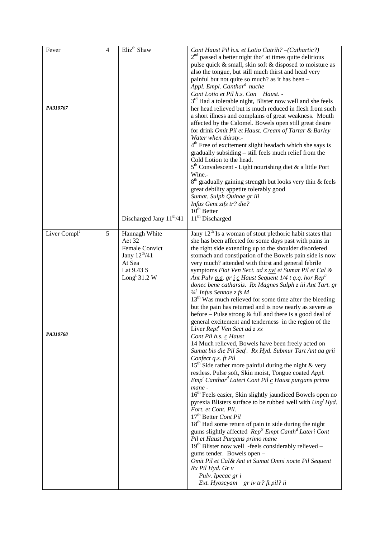| Fever                    | $\overline{4}$ | Eliz <sup>th</sup> Shaw      | Cont Haust Pil h.s. et Lotio Catrih? - (Cathartic?)                                                                                               |
|--------------------------|----------------|------------------------------|---------------------------------------------------------------------------------------------------------------------------------------------------|
|                          |                |                              | $2nd$ passed a better night tho' at times quite delirious                                                                                         |
|                          |                |                              | pulse quick & small, skin soft & disposed to moisture as                                                                                          |
|                          |                |                              | also the tongue, but still much thirst and head very                                                                                              |
|                          |                |                              | painful but not quite so much? as it has been -                                                                                                   |
|                          |                |                              | Appl. Empl. Canthar <sup>d</sup> nuche                                                                                                            |
|                          |                |                              | Cont Lotio et Pil h.s. Con Haust. -                                                                                                               |
|                          |                |                              | 3 <sup>rd</sup> Had a tolerable night, Blister now well and she feels                                                                             |
| PA310767                 |                |                              | her head relieved but is much reduced in flesh from such                                                                                          |
|                          |                |                              | a short illness and complains of great weakness. Mouth                                                                                            |
|                          |                |                              | affected by the Calomel. Bowels open still great desire                                                                                           |
|                          |                |                              | for drink Omit Pil et Haust. Cream of Tartar & Barley                                                                                             |
|                          |                |                              | Water when thirsty.-                                                                                                                              |
|                          |                |                              | 4 <sup>th</sup> Free of excitement slight headach which she says is                                                                               |
|                          |                |                              | gradually subsiding - still feels much relief from the                                                                                            |
|                          |                |                              | Cold Lotion to the head.                                                                                                                          |
|                          |                |                              | $5th$ Convalescent - Light nourishing diet & a little Port                                                                                        |
|                          |                |                              | Wine.-                                                                                                                                            |
|                          |                |                              | $8^{th}$ gradually gaining strength but looks very thin & feels                                                                                   |
|                          |                |                              | great debility appetite tolerably good                                                                                                            |
|                          |                |                              | Sumat. Sulph Quinae gr iii                                                                                                                        |
|                          |                |                              | Infus Gent zifs tr? die?                                                                                                                          |
|                          |                |                              | $10^{\text{th}}$ Better                                                                                                                           |
|                          |                | Discharged Jany $11^{th}/41$ | 11 <sup>th</sup> Discharged                                                                                                                       |
| Liver Compl <sup>t</sup> | $\sqrt{5}$     | Hannagh White                | Jany $12th$ Is a woman of stout plethoric habit states that                                                                                       |
|                          |                | Aet 32                       | she has been affected for some days past with pains in                                                                                            |
|                          |                | Female Convict               | the right side extending up to the shoulder disordered                                                                                            |
|                          |                | Jany $12^{th}/41$            | stomach and constipation of the Bowels pain side is now                                                                                           |
|                          |                | At Sea                       | very much? attended with thirst and general febrile                                                                                               |
|                          |                | Lat 9.43 S                   | symptoms Fiat Ven Sect. ad z xvi et Sumat Pil et Cal &                                                                                            |
|                          |                | Long <sup>t</sup> 31.2 W     | Ant Pulv <u>a.a.</u> gr <u>i</u> c Haust Sequent 1/4 t q.q. hor Rep <sup>tr</sup>                                                                 |
|                          |                |                              | donec bene catharsis. Rx Magnes Sulph z iii Ant Tart. gr                                                                                          |
|                          |                |                              | $\frac{1}{4}$ Infus Sennae z fs M<br>13 <sup>th</sup> Was much relieved for some time after the bleeding                                          |
|                          |                |                              | but the pain has returned and is now nearly as severe as                                                                                          |
|                          |                |                              | before $-$ Pulse strong $\&$ full and there is a good deal of                                                                                     |
|                          |                |                              | general excitement and tenderness in the region of the                                                                                            |
|                          |                |                              | Liver Rept <sup>r</sup> Ven Sect ad z xx                                                                                                          |
| PA310768                 |                |                              | Cont Pil h.s. c Haust                                                                                                                             |
|                          |                |                              | 14 Much relieved, Bowels have been freely acted on                                                                                                |
|                          |                |                              | Sumat bis die Pil Seq <sup>t</sup> . Rx Hyd. Submur Tart Ant aa grii                                                                              |
|                          |                |                              | Confect q.s. ft Pil                                                                                                                               |
|                          |                |                              | $15th$ Side rather more painful during the night & very                                                                                           |
|                          |                |                              | restless. Pulse soft, Skin moist, Tongue coated Appl.                                                                                             |
|                          |                |                              | $Empt Canthard Lateri Cont Pil c Haust purgans primo$                                                                                             |
|                          |                |                              | mane -                                                                                                                                            |
|                          |                |                              | 16 <sup>th</sup> Feels easier, Skin slightly jaundiced Bowels open no                                                                             |
|                          |                |                              | pyrexia Blisters surface to be rubbed well with Ung <sup>t</sup> Hyd.                                                                             |
|                          |                |                              | Fort. et Cont. Pil.                                                                                                                               |
|                          |                |                              | 17 <sup>th</sup> Better Cont Pil                                                                                                                  |
|                          |                |                              | 18 <sup>th</sup> Had some return of pain in side during the night<br>gums slightly affected Rep <sup>tr</sup> Empt Canth <sup>d</sup> Lateri Cont |
|                          |                |                              | Pil et Haust Purgans primo mane                                                                                                                   |
|                          |                |                              | 19th Blister now well -feels considerably relieved -                                                                                              |
|                          |                |                              | gums tender. Bowels open -                                                                                                                        |
|                          |                |                              | Omit Pil et Cal& Ant et Sumat Omni nocte Pil Sequent                                                                                              |
|                          |                |                              | Rx Pil Hyd. Gr v                                                                                                                                  |
|                          |                |                              | Pulv. Ipecac gr i                                                                                                                                 |
|                          |                |                              | Ext. Hyoscyam gr iv tr? ft pil? ii                                                                                                                |
|                          |                |                              |                                                                                                                                                   |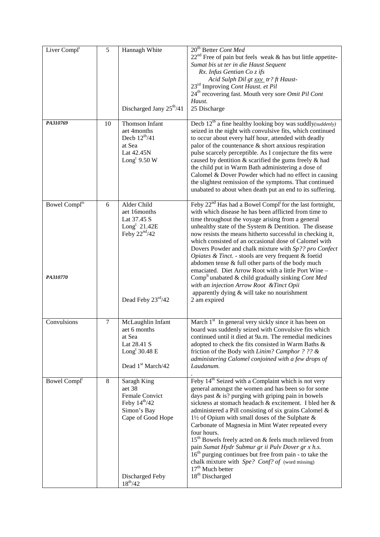| Liver Compl <sup>t</sup>                    | 5      | Hannagh White                                                                                                       | 20 <sup>th</sup> Better Cont Med                                                                                                                                                                                                                                                                                                                                                                                                                                                                                                                                                                                                                                                                                                       |
|---------------------------------------------|--------|---------------------------------------------------------------------------------------------------------------------|----------------------------------------------------------------------------------------------------------------------------------------------------------------------------------------------------------------------------------------------------------------------------------------------------------------------------------------------------------------------------------------------------------------------------------------------------------------------------------------------------------------------------------------------------------------------------------------------------------------------------------------------------------------------------------------------------------------------------------------|
|                                             |        |                                                                                                                     | $22nd$ Free of pain but feels weak & has but little appetite-<br>Sumat bis ut ter in die Haust Sequent<br>Rx. Infus Gentian Co z ifs<br>Acid Sulph Dil gt xxv_tr? ft Haust-                                                                                                                                                                                                                                                                                                                                                                                                                                                                                                                                                            |
|                                             |        |                                                                                                                     | 23 <sup>rd</sup> Improving Cont Haust. et Pil<br>24 <sup>th</sup> recovering fast. Mouth very sore Omit Pil Cont                                                                                                                                                                                                                                                                                                                                                                                                                                                                                                                                                                                                                       |
|                                             |        | Discharged Jany 25 <sup>th</sup> /41                                                                                | Haust.<br>25 Discharge                                                                                                                                                                                                                                                                                                                                                                                                                                                                                                                                                                                                                                                                                                                 |
| PA310769                                    | 10     | <b>Thomson Infant</b><br>aet 4months<br>Decb $12^{th}/41$<br>at Sea<br>Lat 42.45N<br>Long <sup>t</sup> 9.50 W       | Decb $12th$ a fine healthy looking boy was suddly(suddenly)<br>seized in the night with convulsive fits, which continued<br>to occur about every half hour, attended with deadly<br>palor of the countenance $\&$ short anxious respiration<br>pulse scarcely perceptible. As I conjecture the fits were<br>caused by dentition & scarified the gums freely & had<br>the child put in Warm Bath administering a dose of<br>Calomel & Dover Powder which had no effect in causing<br>the slightest remission of the symptoms. That continued<br>unabated to about when death put an end to its suffering.                                                                                                                               |
| <b>Bowel Compl<sup>ts</sup></b><br>PA310770 | 6      | Alder Child<br>aet 16months<br>Lat 37.45 S<br>Long <sup>t</sup> $21.42E$<br>Feby $22nd/42$                          | Feby 22 <sup>nd</sup> Has had a Bowel Compl <sup>t</sup> for the last fortnight,<br>with which disease he has been afflicted from time to<br>time throughout the voyage arising from a general<br>unhealthy state of the System & Dentition. The disease<br>now resists the means hitherto successful in checking it,<br>which consisted of an occasional dose of Calomel with<br>Dovers Powder and chalk mixture with Sp?? pro Confect<br>Opiates & Tinct. - stools are very frequent & foetid<br>abdomen tense & full other parts of the body much<br>emaciated. Diet Arrow Root with a little Port Wine -<br>Comp <sup>lt</sup> unabated & child gradually sinking Cont Med                                                         |
|                                             |        | Dead Feby 23rd/42                                                                                                   | with an injection Arrow Root & Tinct Opii<br>apparently dying & will take no nourishment<br>2 am expired                                                                                                                                                                                                                                                                                                                                                                                                                                                                                                                                                                                                                               |
| Convulsions                                 | $\tau$ | McLaughlin Infant<br>aet 6 months<br>at Sea<br>Lat 28.41 S<br>Long <sup>t</sup> 30.48 E<br>Dead 1st March/42        | March 1 <sup>st</sup> In general very sickly since it has been on<br>board was suddenly seized with Convulsive fits which<br>continued until it died at 9a.m. The remedial medicines<br>adopted to check the fits consisted in Warm Baths &<br>friction of the Body with Linim? Camphor ? ?? &<br>administering Calomel conjoined with a few drops of<br>Laudanum.                                                                                                                                                                                                                                                                                                                                                                     |
| Bowel Compl <sup>t</sup>                    | 8      | Saragh King<br>aet 38<br>Female Convict<br>Feby $14^{th}/42$<br>Simon's Bay<br>Cape of Good Hope<br>Discharged Feby | Feby 14 <sup>th</sup> Seized with a Complaint which is not very<br>general amongst the women and has been so for some<br>days past $\&$ is? purging with griping pain in bowels<br>sickness at stomach headach & excitement. I bled her &<br>administered a Pill consisting of six grains Calomel &<br>$1\frac{1}{2}$ of Opium with small doses of the Sulphate &<br>Carbonate of Magnesia in Mint Water repeated every<br>four hours.<br>15 <sup>th</sup> Bowels freely acted on & feels much relieved from<br>pain Sumat Hydr Submur gr ii Pulv Dover gr x h.s.<br>$16th$ purging continues but free from pain - to take the<br>chalk mixture with Spe? Conf? of (word missing)<br>$17th$ Much better<br>18 <sup>th</sup> Discharged |
|                                             |        | $18^{th}/42$                                                                                                        |                                                                                                                                                                                                                                                                                                                                                                                                                                                                                                                                                                                                                                                                                                                                        |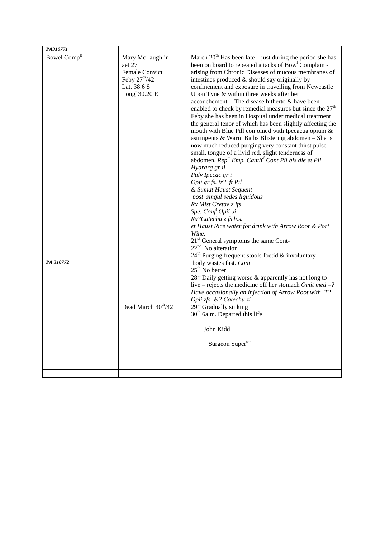| PA310771                              |                                                                                                                                                |                                                                                                                                                                                                                                                                                                                                                                                                                                                                                                                                                                                                                                                                                                                                                                                                                                                                                                                                                                                                                                                                                                                                                                                                                                                                                                                                                                                                                                                                                                                                                                                                                                                                                          |
|---------------------------------------|------------------------------------------------------------------------------------------------------------------------------------------------|------------------------------------------------------------------------------------------------------------------------------------------------------------------------------------------------------------------------------------------------------------------------------------------------------------------------------------------------------------------------------------------------------------------------------------------------------------------------------------------------------------------------------------------------------------------------------------------------------------------------------------------------------------------------------------------------------------------------------------------------------------------------------------------------------------------------------------------------------------------------------------------------------------------------------------------------------------------------------------------------------------------------------------------------------------------------------------------------------------------------------------------------------------------------------------------------------------------------------------------------------------------------------------------------------------------------------------------------------------------------------------------------------------------------------------------------------------------------------------------------------------------------------------------------------------------------------------------------------------------------------------------------------------------------------------------|
| Bowel Comp <sup>lt</sup><br>PA 310772 | Mary McLaughlin<br>aet 27<br>Female Convict<br>Feby $27th/42$<br>Lat. 38.6 S<br>Long <sup>t</sup> $30.20 E$<br>Dead March 30 <sup>th</sup> /42 | March $20th$ Has been late – just during the period she has<br>been on board to repeated attacks of Bow <sup>1</sup> Complain -<br>arising from Chronic Diseases of mucous membranes of<br>intestines produced $&$ should say originally by<br>confinement and exposure in travelling from Newcastle<br>Upon Tyne $&$ within three weeks after her<br>accouchement- The disease hitherto & have been<br>enabled to check by remedial measures but since the 27 <sup>th</sup><br>Feby she has been in Hospital under medical treatment<br>the general tenor of which has been slightly affecting the<br>mouth with Blue Pill conjoined with Ipecacua opium &<br>astringents & Warm Baths Blistering abdomen - She is<br>now much reduced purging very constant thirst pulse<br>small, tongue of a livid red, slight tenderness of<br>abdomen. Rep <sup>tr</sup> Emp. Canth <sup>d</sup> Cont Pil bis die et Pil<br>Hydrarg gr ii<br>Pulv Ipecac gr i<br>Opii gr fs. tr? ft Pil<br>& Sumat Haust Sequent<br>post singul sedes liquidous<br>Rx Mist Cretae z ifs<br>Spe. Conf Opii oi<br>Rx?Catechu z fs h.s.<br>et Haust Rice water for drink with Arrow Root & Port<br>Wine.<br>21 <sup>st</sup> General symptoms the same Cont-<br>$22nd$ No alteration<br>$24^{\text{th}}$ Purging frequent stools foetid & involuntary<br>body wastes fast. Cont<br>$25th$ No better<br>$28th$ Daily getting worse & apparently has not long to<br>live – rejects the medicine off her stomach Omit med –?<br>Have occasionally an injection of Arrow Root with T?<br>Opii zfs &? Catechu zi<br>29 <sup>th</sup> Gradually sinking<br>$30th$ 6a.m. Departed this life<br>John Kidd<br>Surgeon Supertdt |
|                                       |                                                                                                                                                |                                                                                                                                                                                                                                                                                                                                                                                                                                                                                                                                                                                                                                                                                                                                                                                                                                                                                                                                                                                                                                                                                                                                                                                                                                                                                                                                                                                                                                                                                                                                                                                                                                                                                          |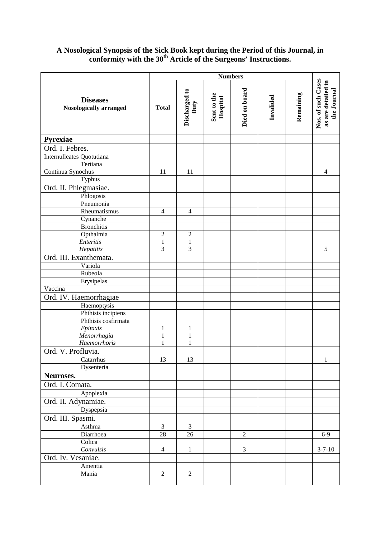# **A Nosological Synopsis of the Sick Book kept during the Period of this Journal, in conformity with the 30th Article of the Surgeons' Instructions.**

|                                                  | <b>Numbers</b> |                       |                         |               |           |           |                                                         |
|--------------------------------------------------|----------------|-----------------------|-------------------------|---------------|-----------|-----------|---------------------------------------------------------|
| <b>Diseases</b><br><b>Nosologically arranged</b> | <b>Total</b>   | Discharged to<br>Duty | Sent to the<br>Hospital | Died on board | Invalided | Remaining | Nos. of such Cases<br>as are detailed in<br>the Journal |
| <b>Pyrexiae</b>                                  |                |                       |                         |               |           |           |                                                         |
| Ord. I. Febres.                                  |                |                       |                         |               |           |           |                                                         |
| Internulleates Quotutiana<br>Tertiana            |                |                       |                         |               |           |           |                                                         |
| Continua Synochus                                | 11             | 11                    |                         |               |           |           | $\overline{4}$                                          |
| Typhus                                           |                |                       |                         |               |           |           |                                                         |
| Ord. II. Phlegmasiae.                            |                |                       |                         |               |           |           |                                                         |
| Phlogosis                                        |                |                       |                         |               |           |           |                                                         |
| Pneumonia                                        |                |                       |                         |               |           |           |                                                         |
| Rheumatismus                                     | $\overline{4}$ | $\overline{4}$        |                         |               |           |           |                                                         |
| Cynanche                                         |                |                       |                         |               |           |           |                                                         |
| <b>Bronchitis</b>                                |                |                       |                         |               |           |           |                                                         |
| Opthalmia                                        | $\sqrt{2}$     | $\boldsymbol{2}$      |                         |               |           |           |                                                         |
| Enteritis                                        | $\mathbf{1}$   | $\mathbf{1}$          |                         |               |           |           |                                                         |
| Hepatitis                                        | 3              | 3                     |                         |               |           |           | 5                                                       |
| Ord. III. Exanthemata.                           |                |                       |                         |               |           |           |                                                         |
| Variola                                          |                |                       |                         |               |           |           |                                                         |
| Rubeola                                          |                |                       |                         |               |           |           |                                                         |
| Erysipelas                                       |                |                       |                         |               |           |           |                                                         |
| Vaccina                                          |                |                       |                         |               |           |           |                                                         |
| Ord. IV. Haemorrhagiae                           |                |                       |                         |               |           |           |                                                         |
| Haemoptysis                                      |                |                       |                         |               |           |           |                                                         |
| Phthisis incipiens                               |                |                       |                         |               |           |           |                                                         |
| Phthisis cosfirmata                              |                |                       |                         |               |           |           |                                                         |
| Epitaxis                                         | 1              | 1                     |                         |               |           |           |                                                         |
| Menorrhagia                                      | $\mathbf{1}$   | $\mathbf{1}$          |                         |               |           |           |                                                         |
| Haemorrhoris                                     | $\mathbf{1}$   | 1                     |                         |               |           |           |                                                         |
| Ord. V. Profluvia.                               |                |                       |                         |               |           |           |                                                         |
| Catarrhus                                        | 13             | 13                    |                         |               |           |           | $\mathbf{1}$                                            |
| Dysenteria                                       |                |                       |                         |               |           |           |                                                         |
| Neuroses.                                        |                |                       |                         |               |           |           |                                                         |
| Ord. I. Comata.                                  |                |                       |                         |               |           |           |                                                         |
| Apoplexia                                        |                |                       |                         |               |           |           |                                                         |
| Ord. II. Adynamiae.                              |                |                       |                         |               |           |           |                                                         |
| Dyspepsia                                        |                |                       |                         |               |           |           |                                                         |
|                                                  |                |                       |                         |               |           |           |                                                         |
| Ord. III. Spasmi.                                |                |                       |                         |               |           |           |                                                         |
| Asthma                                           | $\overline{3}$ | $\overline{3}$        |                         |               |           |           |                                                         |
| Diarrhoea<br>Colica                              | 28             | 26                    |                         | $\sqrt{2}$    |           |           | $6-9$                                                   |
| Convulsis                                        | $\overline{4}$ | $\mathbf{1}$          |                         | 3             |           |           | $3 - 7 - 10$                                            |
| Ord. Iv. Vesaniae.                               |                |                       |                         |               |           |           |                                                         |
|                                                  |                |                       |                         |               |           |           |                                                         |
| Amentia<br>Mania                                 | $\overline{2}$ | $\overline{2}$        |                         |               |           |           |                                                         |
|                                                  |                |                       |                         |               |           |           |                                                         |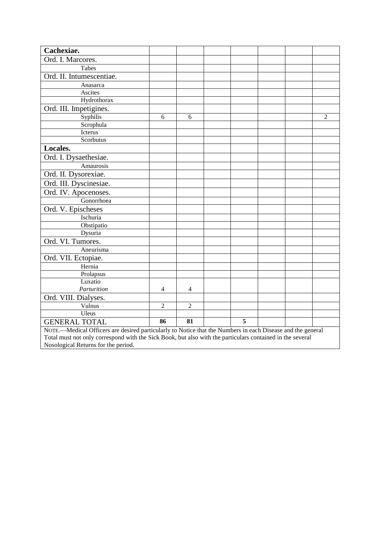| Cachexiae.                                                                                                 |                |                |   |  |                |
|------------------------------------------------------------------------------------------------------------|----------------|----------------|---|--|----------------|
| Ord. I. Marcores.                                                                                          |                |                |   |  |                |
| Tabes                                                                                                      |                |                |   |  |                |
| Ord. II. Intumescentiae.                                                                                   |                |                |   |  |                |
| Anasarca                                                                                                   |                |                |   |  |                |
| Ascites                                                                                                    |                |                |   |  |                |
| Hydrothorax                                                                                                |                |                |   |  |                |
| Ord. III. Impetigines.                                                                                     |                |                |   |  |                |
| Syphilis                                                                                                   | 6              | 6              |   |  | $\overline{2}$ |
| Scrophula                                                                                                  |                |                |   |  |                |
| Icterus                                                                                                    |                |                |   |  |                |
| Scorbutus                                                                                                  |                |                |   |  |                |
| Locales.                                                                                                   |                |                |   |  |                |
| Ord. I. Dysaethesiae.                                                                                      |                |                |   |  |                |
| Amaurosis                                                                                                  |                |                |   |  |                |
| Ord. II. Dysorexiae.                                                                                       |                |                |   |  |                |
| Ord. III. Dyscinesiae.                                                                                     |                |                |   |  |                |
| Ord. IV. Apocenoses.                                                                                       |                |                |   |  |                |
| Gonorrhoea                                                                                                 |                |                |   |  |                |
| Ord. V. Epischeses                                                                                         |                |                |   |  |                |
| Ischuria                                                                                                   |                |                |   |  |                |
| Obstipatio                                                                                                 |                |                |   |  |                |
| Dysuria                                                                                                    |                |                |   |  |                |
| Ord. VI. Tumores.                                                                                          |                |                |   |  |                |
| Aneurisma                                                                                                  |                |                |   |  |                |
| Ord. VII. Ectopiae.                                                                                        |                |                |   |  |                |
| Hernia                                                                                                     |                |                |   |  |                |
| Prolapsus                                                                                                  |                |                |   |  |                |
| Luxatio                                                                                                    |                |                |   |  |                |
| Parturition                                                                                                | $\overline{4}$ | 4              |   |  |                |
| Ord. VIII. Dialyses.                                                                                       |                |                |   |  |                |
| Vulnus                                                                                                     | $\overline{2}$ | $\overline{2}$ |   |  |                |
| Uleus                                                                                                      |                |                |   |  |                |
| <b>GENERAL TOTAL</b>                                                                                       | 86             | 81             | 5 |  |                |
| NOTE.—Medical Officers are desired particularly to Notice that the Numbers in each Disease and the general |                |                |   |  |                |

Total must not only correspond with the Sick Book, but also with the particulars contained in the several Nosological Returns for the period.